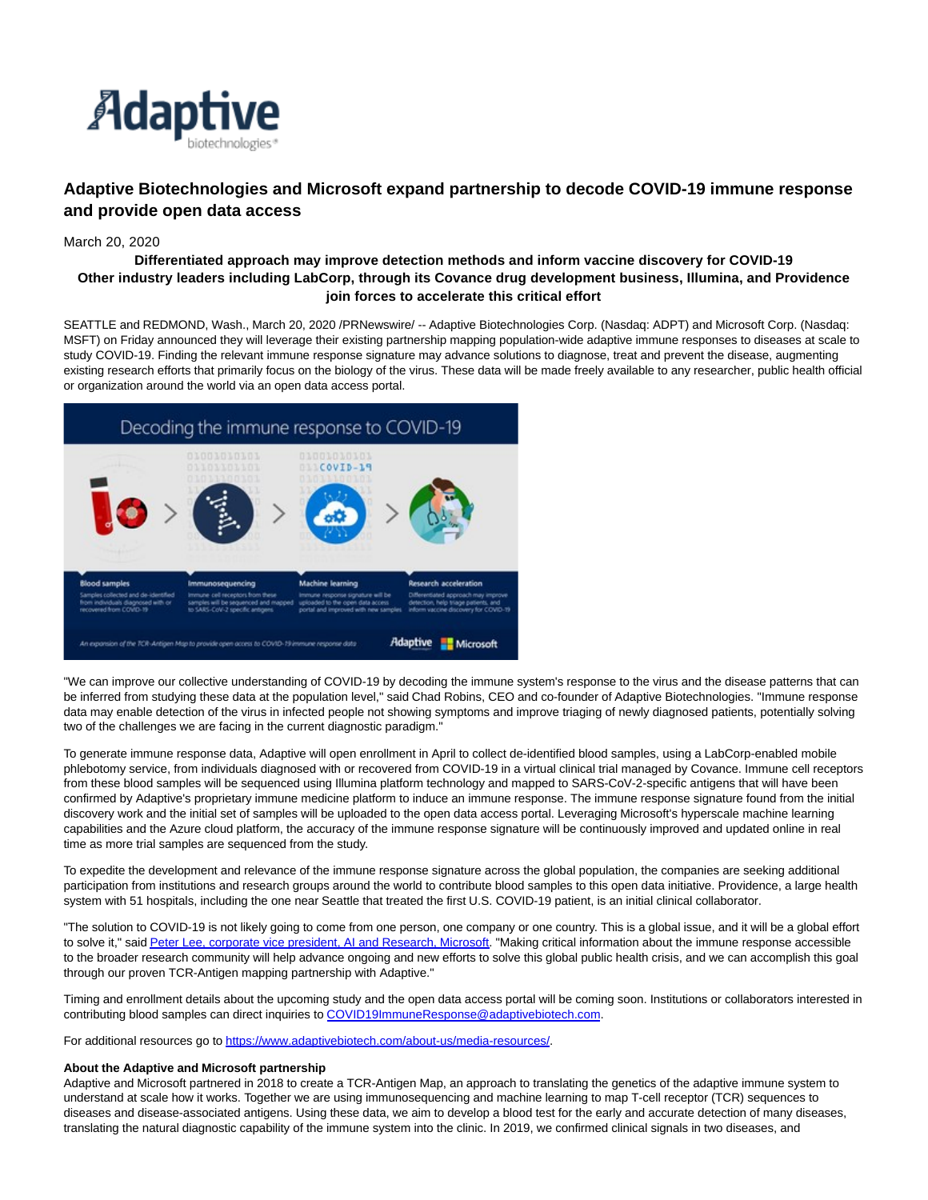

# **Adaptive Biotechnologies and Microsoft expand partnership to decode COVID-19 immune response and provide open data access**

## March 20, 2020

## **Differentiated approach may improve detection methods and inform vaccine discovery for COVID-19 Other industry leaders including LabCorp, through its Covance drug development business, Illumina, and Providence join forces to accelerate this critical effort**

SEATTLE and REDMOND, Wash., March 20, 2020 /PRNewswire/ -- Adaptive Biotechnologies Corp. (Nasdaq: ADPT) and Microsoft Corp. (Nasdaq: MSFT) on Friday announced they will leverage their existing partnership mapping population-wide adaptive immune responses to diseases at scale to study COVID-19. Finding the relevant immune response signature may advance solutions to diagnose, treat and prevent the disease, augmenting existing research efforts that primarily focus on the biology of the virus. These data will be made freely available to any researcher, public health official or organization around the world via an open data access portal.



"We can improve our collective understanding of COVID-19 by decoding the immune system's response to the virus and the disease patterns that can be inferred from studying these data at the population level," said Chad Robins, CEO and co-founder of Adaptive Biotechnologies. "Immune response data may enable detection of the virus in infected people not showing symptoms and improve triaging of newly diagnosed patients, potentially solving two of the challenges we are facing in the current diagnostic paradigm."

To generate immune response data, Adaptive will open enrollment in April to collect de-identified blood samples, using a LabCorp-enabled mobile phlebotomy service, from individuals diagnosed with or recovered from COVID-19 in a virtual clinical trial managed by Covance. Immune cell receptors from these blood samples will be sequenced using Illumina platform technology and mapped to SARS-CoV-2-specific antigens that will have been confirmed by Adaptive's proprietary immune medicine platform to induce an immune response. The immune response signature found from the initial discovery work and the initial set of samples will be uploaded to the open data access portal. Leveraging Microsoft's hyperscale machine learning capabilities and the Azure cloud platform, the accuracy of the immune response signature will be continuously improved and updated online in real time as more trial samples are sequenced from the study.

To expedite the development and relevance of the immune response signature across the global population, the companies are seeking additional participation from institutions and research groups around the world to contribute blood samples to this open data initiative. Providence, a large health system with 51 hospitals, including the one near Seattle that treated the first U.S. COVID-19 patient, is an initial clinical collaborator.

"The solution to COVID-19 is not likely going to come from one person, one company or one country. This is a global issue, and it will be a global effort to solve it," sai[d Peter Lee, corporate vice president, AI and Research, Microsoft.](https://c212.net/c/link/?t=0&l=en&o=2757313-1&h=1194488000&u=https%3A%2F%2Fblogs.microsoft.com%2F%3Fp%3D52551358&a=Peter+Lee%2C+corporate+vice+president%2C+AI+and+Research%2C+Microsoft) "Making critical information about the immune response accessible to the broader research community will help advance ongoing and new efforts to solve this global public health crisis, and we can accomplish this goal through our proven TCR-Antigen mapping partnership with Adaptive."

Timing and enrollment details about the upcoming study and the open data access portal will be coming soon. Institutions or collaborators interested in contributing blood samples can direct inquiries to [COVID19ImmuneResponse@adaptivebiotech.com.](mailto:COVID19ImmuneResponse@adaptivebiotech.com)

For additional resources go to [https://www.adaptivebiotech.com/about-us/media-resources/.](https://c212.net/c/link/?t=0&l=en&o=2757313-1&h=3055222971&u=https%3A%2F%2Fwww.adaptivebiotech.com%2Fabout-us%2Fmedia-resources%2F&a=https%3A%2F%2Fwww.adaptivebiotech.com%2Fabout-us%2Fmedia-resources%2F)

#### **About the Adaptive and Microsoft partnership**

Adaptive and Microsoft partnered in 2018 to create a TCR-Antigen Map, an approach to translating the genetics of the adaptive immune system to understand at scale how it works. Together we are using immunosequencing and machine learning to map T-cell receptor (TCR) sequences to diseases and disease-associated antigens. Using these data, we aim to develop a blood test for the early and accurate detection of many diseases, translating the natural diagnostic capability of the immune system into the clinic. In 2019, we confirmed clinical signals in two diseases, and